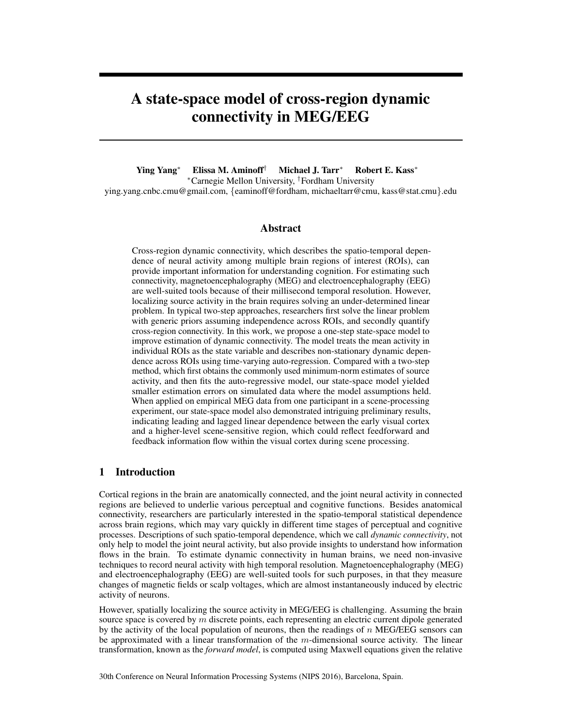# A state-space model of cross-region dynamic connectivity in MEG/EEG

Ying Yang<sup>∗</sup> Elissa M. Aminoff† Michael J. Tarr<sup>∗</sup> Robert E. Kass<sup>∗</sup> <sup>∗</sup>Carnegie Mellon University, †Fordham University ying.yang.cnbc.cmu@gmail.com, {eaminoff@fordham, michaeltarr@cmu, kass@stat.cmu}.edu

## Abstract

Cross-region dynamic connectivity, which describes the spatio-temporal dependence of neural activity among multiple brain regions of interest (ROIs), can provide important information for understanding cognition. For estimating such connectivity, magnetoencephalography (MEG) and electroencephalography (EEG) are well-suited tools because of their millisecond temporal resolution. However, localizing source activity in the brain requires solving an under-determined linear problem. In typical two-step approaches, researchers first solve the linear problem with generic priors assuming independence across ROIs, and secondly quantify cross-region connectivity. In this work, we propose a one-step state-space model to improve estimation of dynamic connectivity. The model treats the mean activity in individual ROIs as the state variable and describes non-stationary dynamic dependence across ROIs using time-varying auto-regression. Compared with a two-step method, which first obtains the commonly used minimum-norm estimates of source activity, and then fits the auto-regressive model, our state-space model yielded smaller estimation errors on simulated data where the model assumptions held. When applied on empirical MEG data from one participant in a scene-processing experiment, our state-space model also demonstrated intriguing preliminary results, indicating leading and lagged linear dependence between the early visual cortex and a higher-level scene-sensitive region, which could reflect feedforward and feedback information flow within the visual cortex during scene processing.

## 1 Introduction

Cortical regions in the brain are anatomically connected, and the joint neural activity in connected regions are believed to underlie various perceptual and cognitive functions. Besides anatomical connectivity, researchers are particularly interested in the spatio-temporal statistical dependence across brain regions, which may vary quickly in different time stages of perceptual and cognitive processes. Descriptions of such spatio-temporal dependence, which we call *dynamic connectivity*, not only help to model the joint neural activity, but also provide insights to understand how information flows in the brain. To estimate dynamic connectivity in human brains, we need non-invasive techniques to record neural activity with high temporal resolution. Magnetoencephalography (MEG) and electroencephalography (EEG) are well-suited tools for such purposes, in that they measure changes of magnetic fields or scalp voltages, which are almost instantaneously induced by electric activity of neurons.

However, spatially localizing the source activity in MEG/EEG is challenging. Assuming the brain source space is covered by  $m$  discrete points, each representing an electric current dipole generated by the activity of the local population of neurons, then the readings of  $n$  MEG/EEG sensors can be approximated with a linear transformation of the  $m$ -dimensional source activity. The linear transformation, known as the *forward model*, is computed using Maxwell equations given the relative

30th Conference on Neural Information Processing Systems (NIPS 2016), Barcelona, Spain.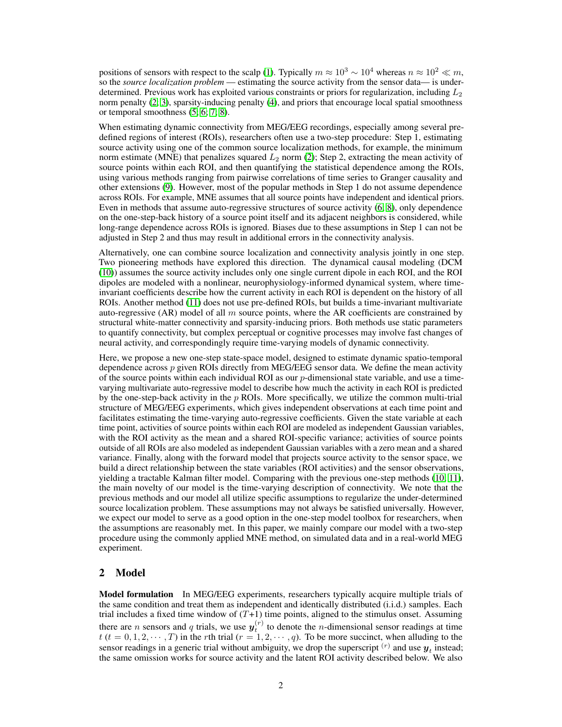positions of sensors with respect to the scalp [\(1\)](#page-7-0). Typically  $m \approx 10^3 \sim 10^4$  whereas  $n \approx 10^2 \ll m$ , so the *source localization problem* — estimating the source activity from the sensor data— is underdetermined. Previous work has exploited various constraints or priors for regularization, including  $L_2$ norm penalty [\(2;](#page-8-0) [3\)](#page-8-1), sparsity-inducing penalty [\(4\)](#page-8-2), and priors that encourage local spatial smoothness or temporal smoothness [\(5;](#page-8-3) [6;](#page-8-4) [7;](#page-8-5) [8\)](#page-8-6).

When estimating dynamic connectivity from MEG/EEG recordings, especially among several predefined regions of interest (ROIs), researchers often use a two-step procedure: Step 1, estimating source activity using one of the common source localization methods, for example, the minimum norm estimate (MNE) that penalizes squared  $L_2$  norm [\(2\)](#page-8-0); Step 2, extracting the mean activity of source points within each ROI, and then quantifying the statistical dependence among the ROIs, using various methods ranging from pairwise correlations of time series to Granger causality and other extensions [\(9\)](#page-8-7). However, most of the popular methods in Step 1 do not assume dependence across ROIs. For example, MNE assumes that all source points have independent and identical priors. Even in methods that assume auto-regressive structures of source activity [\(6;](#page-8-4) [8\)](#page-8-6), only dependence on the one-step-back history of a source point itself and its adjacent neighbors is considered, while long-range dependence across ROIs is ignored. Biases due to these assumptions in Step 1 can not be adjusted in Step 2 and thus may result in additional errors in the connectivity analysis.

Alternatively, one can combine source localization and connectivity analysis jointly in one step. Two pioneering methods have explored this direction. The dynamical causal modeling (DCM [\(10\)](#page-8-8)) assumes the source activity includes only one single current dipole in each ROI, and the ROI dipoles are modeled with a nonlinear, neurophysiology-informed dynamical system, where timeinvariant coefficients describe how the current activity in each ROI is dependent on the history of all ROIs. Another method [\(11\)](#page-8-9) does not use pre-defined ROIs, but builds a time-invariant multivariate auto-regressive (AR) model of all  $m$  source points, where the AR coefficients are constrained by structural white-matter connectivity and sparsity-inducing priors. Both methods use static parameters to quantify connectivity, but complex perceptual or cognitive processes may involve fast changes of neural activity, and correspondingly require time-varying models of dynamic connectivity.

Here, we propose a new one-step state-space model, designed to estimate dynamic spatio-temporal dependence across p given ROIs directly from MEG/EEG sensor data. We define the mean activity of the source points within each individual ROI as our  $p$ -dimensional state variable, and use a timevarying multivariate auto-regressive model to describe how much the activity in each ROI is predicted by the one-step-back activity in the  $p$  ROIs. More specifically, we utilize the common multi-trial structure of MEG/EEG experiments, which gives independent observations at each time point and facilitates estimating the time-varying auto-regressive coefficients. Given the state variable at each time point, activities of source points within each ROI are modeled as independent Gaussian variables, with the ROI activity as the mean and a shared ROI-specific variance; activities of source points outside of all ROIs are also modeled as independent Gaussian variables with a zero mean and a shared variance. Finally, along with the forward model that projects source activity to the sensor space, we build a direct relationship between the state variables (ROI activities) and the sensor observations, yielding a tractable Kalman filter model. Comparing with the previous one-step methods [\(10;](#page-8-8) [11\)](#page-8-9), the main novelty of our model is the time-varying description of connectivity. We note that the previous methods and our model all utilize specific assumptions to regularize the under-determined source localization problem. These assumptions may not always be satisfied universally. However, we expect our model to serve as a good option in the one-step model toolbox for researchers, when the assumptions are reasonably met. In this paper, we mainly compare our model with a two-step procedure using the commonly applied MNE method, on simulated data and in a real-world MEG experiment.

# <span id="page-1-0"></span>2 Model

Model formulation In MEG/EEG experiments, researchers typically acquire multiple trials of the same condition and treat them as independent and identically distributed (i.i.d.) samples. Each trial includes a fixed time window of  $(T+1)$  time points, aligned to the stimulus onset. Assuming there are *n* sensors and *q* trials, we use  $y_t^{(r)}$  to denote the *n*-dimensional sensor readings at time  $t$  ( $t = 0, 1, 2, \dots, T$ ) in the rth trial  $(r = 1, 2, \dots, q)$ . To be more succinct, when alluding to the sensor readings in a generic trial without ambiguity, we drop the superscript  $^{(r)}$  and use  $y_t$  instead; the same omission works for source activity and the latent ROI activity described below. We also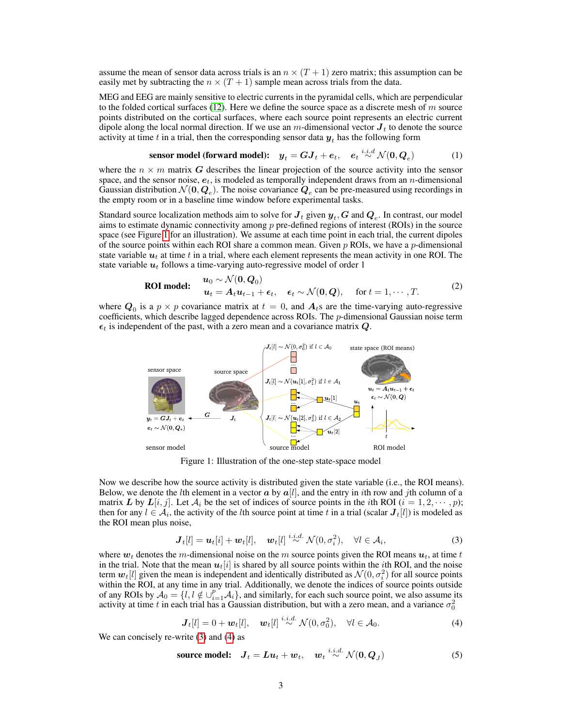assume the mean of sensor data across trials is an  $n \times (T + 1)$  zero matrix; this assumption can be easily met by subtracting the  $n \times (T + 1)$  sample mean across trials from the data.

MEG and EEG are mainly sensitive to electric currents in the pyramidal cells, which are perpendicular to the folded cortical surfaces [\(12\)](#page-8-10). Here we define the source space as a discrete mesh of  $m$  source points distributed on the cortical surfaces, where each source point represents an electric current dipole along the local normal direction. If we use an m-dimensional vector  $J_t$  to denote the source activity at time t in a trial, then the corresponding sensor data  $y_t$  has the following form

<span id="page-2-3"></span>
$$
\text{sensor model (forward model):} \quad y_t = GJ_t + e_t, \quad e_t \stackrel{i.i.d}{\sim} \mathcal{N}(0, Q_e) \tag{1}
$$

where the  $n \times m$  matrix G describes the linear projection of the source activity into the sensor space, and the sensor noise,  $e_t$ , is modeled as temporally independent draws from an n-dimensional Gaussian distribution  $\mathcal{N}(\bm{0},\bm{Q}_e)$ . The noise covariance  $\bm{Q}_e$  can be pre-measured using recordings in the empty room or in a baseline time window before experimental tasks.

Standard source localization methods aim to solve for  $\bm{J}_t$  given  $\bm{y}_t, \bm{G}$  and  $\bm{Q}_e$ . In contrast, our model aims to estimate dynamic connectivity among p pre-defined regions of interest (ROIs) in the source space (see Figure [1](#page-2-0) for an illustration). We assume at each time point in each trial, the current dipoles of the source points within each ROI share a common mean. Given  $p$  ROIs, we have a  $p$ -dimensional state variable  $u_t$  at time t in a trial, where each element represents the mean activity in one ROI. The state variable  $u_t$  follows a time-varying auto-regressive model of order 1

<span id="page-2-5"></span>**ROI model:** 
$$
\begin{aligned}\n\mathbf{u}_0 &\sim \mathcal{N}(\mathbf{0}, \mathbf{Q}_0) \\
\mathbf{u}_t &= \mathbf{A}_t \mathbf{u}_{t-1} + \boldsymbol{\epsilon}_t, \quad \boldsymbol{\epsilon}_t \sim \mathcal{N}(\mathbf{0}, \mathbf{Q}), \quad \text{for } t = 1, \cdots, T.\n\end{aligned}
$$
\n(2)

<span id="page-2-0"></span>where  $Q_0$  is a  $p \times p$  covariance matrix at  $t = 0$ , and  $A_t$ s are the time-varying auto-regressive coefficients, which describe lagged dependence across ROIs. The  $p$ -dimensional Gaussian noise term  $\epsilon_t$  is independent of the past, with a zero mean and a covariance matrix Q.



Figure 1: Illustration of the one-step state-space model

Now we describe how the source activity is distributed given the state variable (i.e., the ROI means). Below, we denote the *l*th element in a vector  $\boldsymbol{a}$  by  $\boldsymbol{a}[l]$ , and the entry in *i*th row and *j*th column of a matrix L by  $L[i, j]$ . Let  $A_i$  be the set of indices of source points in the *i*th ROI  $(i = 1, 2, \dots, p)$ ; then for any  $l \in A_i$ , the activity of the *l*th source point at time t in a trial (scalar  $J_t[l]$ ) is modeled as the ROI mean plus noise,

<span id="page-2-1"></span>
$$
\boldsymbol{J}_t[l] = \boldsymbol{u}_t[i] + \boldsymbol{w}_t[l], \quad \boldsymbol{w}_t[l] \stackrel{i.i.d.}{\sim} \mathcal{N}(0, \sigma_i^2), \quad \forall l \in \mathcal{A}_i,
$$
\n(3)

where  $w_t$  denotes the m-dimensional noise on the m source points given the ROI means  $u_t$ , at time t in the trial. Note that the mean  $u_t[i]$  is shared by all source points within the *i*th ROI, and the noise term  $w_t[l]$  given the mean is independent and identically distributed as  $\mathcal{N}(0, \sigma_i^2)$  for all source points within the ROI, at any time in any trial. Additionally, we denote the indices of source points outside of any ROIs by  $A_0 = \{l, l \notin \bigcup_{i=1}^p A_i\}$ , and similarly, for each such source point, we also assume its activity at time t in each trial has a Gaussian distribution, but with a zero mean, and a variance  $\sigma_0^2$ 

<span id="page-2-4"></span><span id="page-2-2"></span>
$$
\mathbf{J}_t[l] = 0 + \boldsymbol{w}_t[l], \quad \boldsymbol{w}_t[l] \stackrel{i.i.d.}{\sim} \mathcal{N}(0, \sigma_0^2), \quad \forall l \in \mathcal{A}_0.
$$

We can concisely re-write [\(3\)](#page-2-1) and [\(4\)](#page-2-2) as

**source model:** 
$$
J_t = Lu_t + w_t
$$
,  $w_t \stackrel{i.i.d.}{\sim} \mathcal{N}(0, Q_J)$  (5)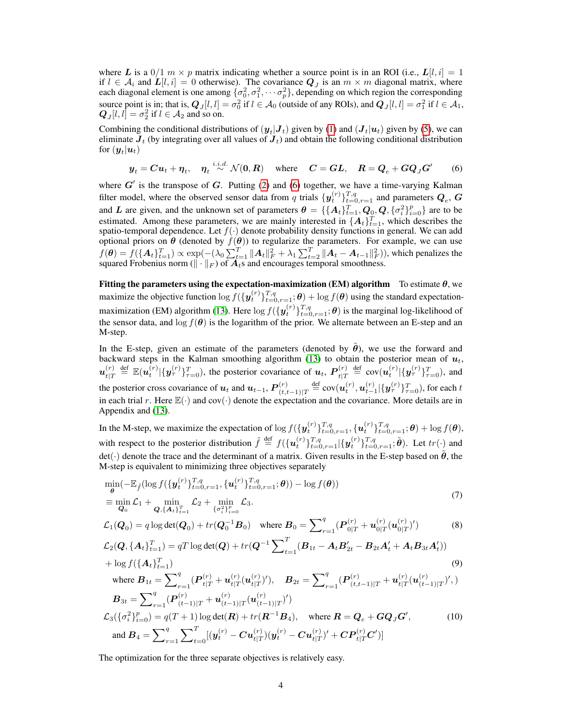where L is a  $0/1$   $m \times p$  matrix indicating whether a source point is in an ROI (i.e.,  $L[l, i] = 1$ if  $l \in \mathcal{A}_i$  and  $\mathbf{L}[l,i] = 0$  otherwise). The covariance  $\mathbf{Q}_J$  is an  $m \times m$  diagonal matrix, where each diagonal element is one among  $\{\sigma_0^2, \sigma_1^2, \cdots, \sigma_p^2\}$ , depending on which region the corresponding source point is in; that is,  $Q_J[l, l] = \sigma_0^2$  if  $l \in A_0$  (outside of any ROIs), and  $Q_J[l, l] = \sigma_1^2$  if  $l \in A_1$ ,  $Q_J[l, l] = \sigma_2^2$  if  $l \in A_2$  and so on.

Combining the conditional distributions of  $(y_t|J_t)$  given by [\(1\)](#page-2-3) and  $(J_t|u_t)$  given by [\(5\)](#page-2-4), we can eliminate  $J_t$  (by integrating over all values of  $J_t$ ) and obtain the following conditional distribution for  $(\boldsymbol{y}_t|\boldsymbol{u}_t)$ 

<span id="page-3-0"></span>
$$
y_t = Cu_t + \eta_t
$$
,  $\eta_t \stackrel{i.i.d.}{\sim} \mathcal{N}(0, R)$  where  $C = GL$ ,  $R = Q_e + GQ_JG'$  (6)

where  $G'$  is the transpose of  $G$ . Putting [\(2\)](#page-2-5) and [\(6\)](#page-3-0) together, we have a time-varying Kalman filter model, where the observed sensor data from q trials  $\{y_t^{(r)}\}_{t=0,r=1}^{T,q}$  and parameters  $Q_e$ ,  $G$ and L are given, and the unknown set of parameters  $\theta = \{\{A_t\}_{t=1}^T, Q_0, Q, \{\sigma_i^2\}_{i=0}^p\}$  are to be estimated. Among these parameters, we are mainly interested in  $\{A_t\}_{t=1}^T$ , which describes the spatio-temporal dependence. Let  $f(\cdot)$  denote probability density functions in general. We can add optional priors on  $\theta$  (denoted by  $f(\theta)$ ) to regularize the parameters. For example, we can use  $f(\theta) = f(\{A_t\}_{t=1}^T) \propto \exp(-(\lambda_0 \sum_{t=1}^T \|A_t\|_F^2 + \lambda_1 \sum_{t=2}^T \|A_t - A_{t-1}\|_F^2))$ , which penalizes the squared Frobenius norm ( $\|\cdot\|_F$ ) of  $A_t$ s and encourages temporal smoothness.

Fitting the parameters using the expectation-maximization (EM) algorithm To estimate  $\theta$ , we maximize the objective function  $\log f(\{y_t^{(r)}\}_{t=0,r=1}^{T,q}; \theta) + \log f(\theta)$  using the standard expectation-maximization (EM) algorithm [\(13\)](#page-8-11). Here  $\log f(\{y_t^{(r)}\}_{t=0,r=1}^{T,q};\theta)$  is the marginal log-likelihood of the sensor data, and  $\log f(\theta)$  is the logarithm of the prior. We alternate between an E-step and an M-step.

In the E-step, given an estimate of the parameters (denoted by  $\tilde{\theta}$ ), we use the forward and backward steps in the Kalman smoothing algorithm [\(13\)](#page-8-11) to obtain the posterior mean of  $u_t$ ,  $\pmb{u}^{(r)}_{\scriptscriptstyle{t} \perp \tau}$  $t_{t|T}^{(r)} \stackrel{\text{def}}{=} \mathbb{E}(\boldsymbol{u}_t^{(r)}|\{\boldsymbol{y}_{\tau}^{(r)}\}_{\tau=0}^T)$ , the posterior covariance of  $\boldsymbol{u}_t$ ,  $\boldsymbol{P}_{t|T}^{(r)}$  $\frac{f(r)}{t|T} \stackrel{\text{def}}{=} \text{cov}(\bm{u}_t^{(r)}|\{\bm{y}_{\tau}^{(r)}\}_{\tau=0}^T),$  and the posterior cross covariance of  $u_t$  and  $u_{t-1}$ ,  $P_{(t,i)}^{(r)}$  $\sum_{(t,t-1)|T}^{(r)} \stackrel{\text{def}}{=} \text{cov}(\bm{u}_t^{(r)}, \bm{u}_{t-1}^{(r)} | \{\bm{y}_{\tau}^{(r)}\}_{\tau=0}^T)$ , for each t in each trial r. Here  $\mathbb{E}(\cdot)$  and cov $(\cdot)$  denote the expectation and the covariance. More details are in Appendix and [\(13\)](#page-8-11).

In the M-step, we maximize the expectation of  $\log f(\{\mathbf{y}_t^{(r)}\}_{t=0,r=1}^{T,q}, \{\mathbf{u}_t^{(r)}\}_{t=0,r=1}^{T,q}; \boldsymbol{\theta}) + \log f(\boldsymbol{\theta}),$ with respect to the posterior distribution  $\tilde{f} \stackrel{\text{def}}{=} f(\{\boldsymbol{u}_t^{(r)}\}_{t=0,r=1}^{T,q}|\{\boldsymbol{y}_t^{(r)}\}_{t=0,r=1}^{T,q};\tilde{\boldsymbol{\theta}})$ . Let  $tr(\cdot)$  and  $det(\cdot)$  denote the trace and the determinant of a matrix. Given results in the E-step based on  $\tilde{\theta}$ , the M-step is equivalent to minimizing three objectives separately

$$
\min_{\theta} \left( -\mathbb{E}_{\tilde{f}} \left( \log f \left( \{ \boldsymbol{y}_t^{(r)} \}_{t=0, r=1}^{T, q}, \{ \boldsymbol{u}_t^{(r)} \}_{t=0, r=1}^{T, q}; \theta \right) \right) - \log f(\boldsymbol{\theta}) \right) \n\equiv \min_{\mathbf{Q}_0} \mathcal{L}_1 + \min_{\mathbf{Q}, \{\mathbf{A}_t\}_{t=1}^T} \mathcal{L}_2 + \min_{\{\sigma_t^2\}_{t=0}^T} \mathcal{L}_3.
$$
\n(7)

$$
\mathcal{L}_1(\mathbf{Q}_0) = q \log \det(\mathbf{Q}_0) + tr(\mathbf{Q}_0^{-1} \mathbf{B}_0) \quad \text{where } \mathbf{B}_0 = \sum_{r=1}^q (\mathbf{P}_{0|T}^{(r)} + \mathbf{u}_{0|T}^{(r)} (\mathbf{u}_{0|T}^{(r)})') \tag{8}
$$

$$
\mathcal{L}_2(\mathbf{Q}, {\{\mathbf{A}_t\}}_{t=1}^T) = qT \log \det(\mathbf{Q}) + tr(\mathbf{Q}^{-1} \sum_{t=1}^T (\mathbf{B}_{1t} - \mathbf{A}_t \mathbf{B}_{2t}' - \mathbf{B}_{2t} \mathbf{A}_t' + \mathbf{A}_t \mathbf{B}_{3t} \mathbf{A}_t')) + \log f({\{\mathbf{A}_t\}}_{t=1}^T)
$$
\n(9)

where 
$$
\mathbf{B}_{1t} = \sum_{r=1}^{q} (\mathbf{P}_{t|T}^{(r)} + \mathbf{u}_{t|T}^{(r)}(\mathbf{u}_{t|T}^{(r)}))
$$
, 
$$
\mathbf{B}_{2t} = \sum_{r=1}^{q} (\mathbf{P}_{t|t}^{(r)} + \mathbf{u}_{t|T}^{(r)}(\mathbf{u}_{t|T}^{(r)}))
$$
, 
$$
\mathbf{B}_{3t} = \sum_{r=1}^{q} (\mathbf{P}_{(t-1)|T}^{(r)} + \mathbf{u}_{(t-1)|T}^{(r)}(\mathbf{u}_{(t-1)|T}^{(r)}))
$$

$$
\mathcal{L}_{3}(\{\sigma_{i}^{2}\}_{i=0}^{p}) = q(T+1) \log \det(\mathbf{R}) + tr(\mathbf{R}^{-1}\mathbf{B}_{4}), \text{ where } \mathbf{R} = \mathbf{Q}_{e} + \mathbf{G}\mathbf{Q}_{J}\mathbf{G}', \qquad (10)
$$
and 
$$
\mathbf{B}_{4} = \sum_{r=1}^{q} \sum_{t=0}^{T} [( \mathbf{y}_{t}^{(r)} - \mathbf{C}\mathbf{u}_{t|T}^{(r)})(\mathbf{y}_{t}^{(r)} - \mathbf{C}\mathbf{u}_{t|T}^{(r)})' + \mathbf{C}\mathbf{P}_{t|T}^{(r)}\mathbf{C}') ]
$$

The optimization for the three separate objectives is relatively easy.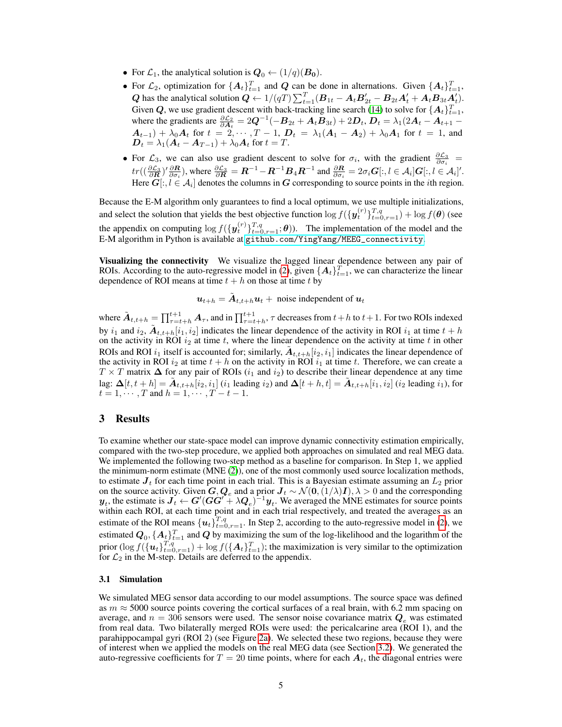- For  $\mathcal{L}_1$ , the analytical solution is  $\mathbf{Q}_0 \leftarrow (1/q)(\mathbf{B_0})$ .
- For  $\mathcal{L}_2$ , optimization for  $\{A_t\}_{t=1}^T$  and  $Q$  can be done in alternations. Given  $\{A_t\}_{t=1}^T$ , Q has the analytical solution  $Q \leftarrow 1/(qT) \sum_{t=1}^{T} (B_{1t} - A_t B'_{2t} - B_{2t} A'_t + A_t B_{3t} A'_t)$ . Given Q, we use gradient descent with back-tracking line search [\(14\)](#page-8-12) to solve for  $\{A_t\}_{t=1}^T$ , where the gradients are  $\frac{\partial \mathcal{L}_2}{\partial \mathbf{A}_t} = 2\mathbf{Q}^{-1}(-\mathbf{B}_{2t} + \mathbf{A}_t \mathbf{B}_{3t}) + 2\mathbf{D}_t$ ,  $\mathbf{D}_t = \lambda_1(2\mathbf{A}_t - \mathbf{A}_{t+1} - \mathbf{A}_t)$  $\mathbf{A}_{t-1}) + \lambda_0 \mathbf{A}_t$  for  $t = 2, \cdots, T-1$ ,  $\mathbf{D}_t = \lambda_1 (\mathbf{A}_1 - \mathbf{A}_2) + \lambda_0 \mathbf{A}_1$  for  $t = 1$ , and  $\mathbf{D}_t = \lambda_1(\mathbf{A}_t - \mathbf{A}_{T-1}) + \lambda_0 \mathbf{A}_t$  for  $t = T$ .
- For  $\mathcal{L}_3$ , we can also use gradient descent to solve for  $\sigma_i$ , with the gradient  $\frac{\partial \mathcal{L}_3}{\partial \sigma_i}$  =  $tr((\frac{\partial \mathcal{L}_3}{\partial \mathbf{R}})^{\prime} \frac{\partial \mathbf{R}}{\partial \sigma_i})$ , where  $\frac{\partial \mathcal{L}_3}{\partial \mathbf{R}} = \mathbf{R}^{-1} - \mathbf{R}^{-1} \mathbf{B}_4 \mathbf{R}^{-1}$  and  $\frac{\partial \mathbf{R}}{\partial \sigma_i} = 2\sigma_i \mathbf{G}[:, l \in \mathcal{A}_i] \mathbf{G}[:, l \in \mathcal{A}_i]'$ . Here  $G[:, l \in A_i]$  denotes the columns in  $G$  corresponding to source points in the *i*th region.

Because the E-M algorithm only guarantees to find a local optimum, we use multiple initializations, and select the solution that yields the best objective function  $\log f(\{y_t^{(r)}\}_{t=0,r=1}^{T,q}) + \log f(\boldsymbol{\theta})$  (see the appendix on computing  $\log f(\{\mathbf{y}_t^{(r)}\}_{t=0,r=1}^{T,q}; \theta)$ ). The implementation of the model and the E-M algorithm in Python is available at [github.com/YingYang/MEEG\\_connectivity](github.com/YingYang/MEEG_connectivity).

Visualizing the connectivity We visualize the lagged linear dependence between any pair of ROIs. According to the auto-regressive model in [\(2\)](#page-2-5), given  $\{A_t\}_{t=1}^T$ , we can characterize the linear dependence of ROI means at time  $t + h$  on those at time  $t$  by

$$
\mathbf{u}_{t+h} = \tilde{\mathbf{A}}_{t,t+h} \mathbf{u}_t + \text{noise independent of } \mathbf{u}_t
$$

where  $\tilde{A}_{t,t+h} = \prod_{\tau=t+h}^{t+1} A_\tau$ , and in  $\prod_{\tau=t+h}^{t+1}$ ,  $\tau$  decreases from  $t+h$  to  $t+1$ . For two ROIs indexed by  $i_1$  and  $i_2$ ,  $\tilde{A}_{t,t+h}[i_1, i_2]$  indicates the linear dependence of the activity in ROI  $i_1$  at time  $t + h$ on the activity in ROI  $i_2$  at time t, where the linear dependence on the activity at time t in other ROIs and ROI  $i_1$  itself is accounted for; similarly,  $\tilde{A}_{t,t+h}[i_2,i_1]$  indicates the linear dependence of the activity in ROI  $i_2$  at time  $t + h$  on the activity in ROI  $i_1$  at time t. Therefore, we can create a  $T \times T$  matrix  $\Delta$  for any pair of ROIs (i<sub>1</sub> and i<sub>2</sub>) to describe their linear dependence at any time lag:  $\Delta[t, t+h] = \tilde{A}_{t,t+h}[i_2, i_1]$   $(i_1$  leading  $i_2$ ) and  $\Delta[t+h, t] = \tilde{A}_{t,t+h}[i_1, i_2]$   $(i_2$  leading  $i_1$ ), for  $t = 1, \dots, T$  and  $h = 1, \dots, T - t - 1$ .

## 3 Results

To examine whether our state-space model can improve dynamic connectivity estimation empirically, compared with the two-step procedure, we applied both approaches on simulated and real MEG data. We implemented the following two-step method as a baseline for comparison. In Step 1, we applied the minimum-norm estimate (MNE [\(2\)](#page-8-0)), one of the most commonly used source localization methods, to estimate  $J_t$  for each time point in each trial. This is a Bayesian estimate assuming an  $L_2$  prior on the source activity. Given  $G, Q_e$  and a prior  $J_t \sim \mathcal{N}(0, (1/\lambda)I), \lambda > 0$  and the corresponding  $y_t$ , the estimate is  $J_t \leftarrow G'(GG' + \lambda Q_e)^{-1}y_t$ . We averaged the MNE estimates for source points within each ROI, at each time point and in each trial respectively, and treated the averages as an estimate of the ROI means  $\{u_t\}_{t=0, r=1}^{T,q}$ . In Step 2, according to the auto-regressive model in [\(2\)](#page-2-5), we estimated  $Q_0, \{A_t\}_{t=1}^T$  and  $Q$  by maximizing the sum of the log-likelihood and the logarithm of the prior  $(\log f(\{u_t\}_{t=0,r=1}^{T,q}) + \log f(\{A_t\}_{t=1}^T)$ ; the maximization is very similar to the optimization for  $\mathcal{L}_2$  in the M-step. Details are deferred to the appendix.

#### 3.1 Simulation

We simulated MEG sensor data according to our model assumptions. The source space was defined as  $m \approx 5000$  source points covering the cortical surfaces of a real brain, with 6.2 mm spacing on average, and  $n = 306$  sensors were used. The sensor noise covariance matrix  $Q_e$  was estimated from real data. Two bilaterally merged ROIs were used: the pericalcarine area (ROI 1), and the parahippocampal gyri (ROI 2) (see Figure [2a\)](#page-5-0). We selected these two regions, because they were of interest when we applied the models on the real MEG data (see Section [3.2\)](#page-5-1). We generated the auto-regressive coefficients for  $T = 20$  time points, where for each  $A_t$ , the diagonal entries were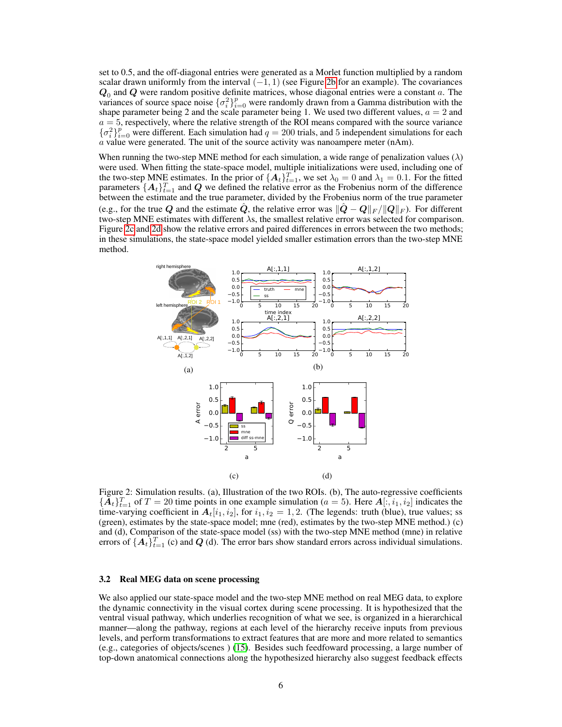set to 0.5, and the off-diagonal entries were generated as a Morlet function multiplied by a random scalar drawn uniformly from the interval  $(-1, 1)$  (see Figure [2b](#page-5-0) for an example). The covariances  $Q_0$  and  $Q$  were random positive definite matrices, whose diagonal entries were a constant a. The variances of source space noise  $\{\sigma_i^2\}_{i=0}^p$  were randomly drawn from a Gamma distribution with the shape parameter being 2 and the scale parameter being 1. We used two different values,  $a = 2$  and  $a = 5$ , respectively, where the relative strength of the ROI means compared with the source variance  ${\{\sigma_i^2\}}_{i=0}^p$  were different. Each simulation had  $q=200$  trials, and 5 independent simulations for each a value were generated. The unit of the source activity was nanoampere meter (nAm).

When running the two-step MNE method for each simulation, a wide range of penalization values ( $\lambda$ ) were used. When fitting the state-space model, multiple initializations were used, including one of the two-step MNE estimates. In the prior of  ${A_t}_{t=1}^T$ , we set  $\lambda_0 = 0$  and  $\lambda_1 = 0.1$ . For the fitted parameters  $\{A_t\}_{t=1}^T$  and  $Q$  we defined the relative error as the Frobenius norm of the difference between the estimate and the true parameter, divided by the Frobenius norm of the true parameter (e.g., for the true Q and the estimate Q, the relative error was  $||\boldsymbol{Q} - \boldsymbol{Q}||_F / ||\boldsymbol{Q}||_F$ ). For different two-step MNE estimates with different  $\lambda$ s, the smallest relative error was selected for comparison. Figure [2c](#page-5-0) and [2d](#page-5-0) show the relative errors and paired differences in errors between the two methods; in these simulations, the state-space model yielded smaller estimation errors than the two-step MNE method.

<span id="page-5-0"></span>

Figure 2: Simulation results. (a), Illustration of the two ROIs. (b), The auto-regressive coefficients  ${\{\tilde{\bm{A}}_t\}_{t=1}^T}$  of  $T=20$  time points in one example simulation ( $a=5$ ). Here  ${\bm A}[:, i_1, i_2]$  indicates the time-varying coefficient in  $A_t[i_1, i_2]$ , for  $i_1, i_2 = 1, 2$ . (The legends: truth (blue), true values; ss (green), estimates by the state-space model; mne (red), estimates by the two-step MNE method.) (c) and (d), Comparison of the state-space model (ss) with the two-step MNE method (mne) in relative errors of  $\{A_t\}_{t=1}^T$  (c) and Q (d). The error bars show standard errors across individual simulations.

#### <span id="page-5-1"></span>3.2 Real MEG data on scene processing

We also applied our state-space model and the two-step MNE method on real MEG data, to explore the dynamic connectivity in the visual cortex during scene processing. It is hypothesized that the ventral visual pathway, which underlies recognition of what we see, is organized in a hierarchical manner—along the pathway, regions at each level of the hierarchy receive inputs from previous levels, and perform transformations to extract features that are more and more related to semantics (e.g., categories of objects/scenes ) [\(15\)](#page-8-13). Besides such feedfoward processing, a large number of top-down anatomical connections along the hypothesized hierarchy also suggest feedback effects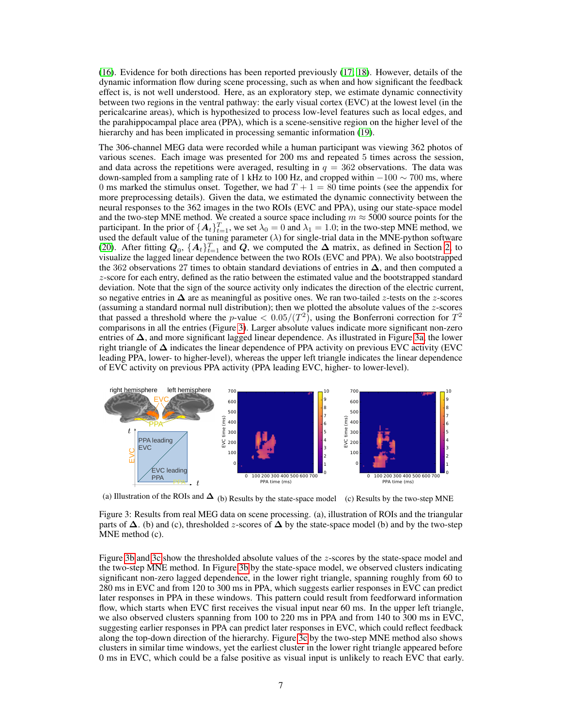[\(16\)](#page-8-14). Evidence for both directions has been reported previously [\(17;](#page-8-15) [18\)](#page-8-16). However, details of the dynamic information flow during scene processing, such as when and how significant the feedback effect is, is not well understood. Here, as an exploratory step, we estimate dynamic connectivity between two regions in the ventral pathway: the early visual cortex (EVC) at the lowest level (in the pericalcarine areas), which is hypothesized to process low-level features such as local edges, and the parahippocampal place area (PPA), which is a scene-sensitive region on the higher level of the hierarchy and has been implicated in processing semantic information [\(19\)](#page-8-17).

The 306-channel MEG data were recorded while a human participant was viewing 362 photos of various scenes. Each image was presented for 200 ms and repeated 5 times across the session, and data across the repetitions were averaged, resulting in  $q = 362$  observations. The data was down-sampled from a sampling rate of 1 kHz to 100 Hz, and cropped within  $-100 \sim 700$  ms, where 0 ms marked the stimulus onset. Together, we had  $T + 1 = 80$  time points (see the appendix for more preprocessing details). Given the data, we estimated the dynamic connectivity between the neural responses to the 362 images in the two ROIs (EVC and PPA), using our state-space model and the two-step MNE method. We created a source space including  $m \approx 5000$  source points for the participant. In the prior of  $\{A_t\}_{t=1}^T$ , we set  $\lambda_0 = 0$  and  $\lambda_1 = 1.0$ ; in the two-step MNE method, we used the default value of the tuning parameter  $(\lambda)$  for single-trial data in the MNE-python software [\(20\)](#page-8-18). After fitting  $Q_0$ ,  $\{A_t\}_{t=1}^T$  and  $Q$ , we computed the  $\Delta$  matrix, as defined in Section [2,](#page-1-0) to visualize the lagged linear dependence between the two ROIs (EVC and PPA). We also bootstrapped the 362 observations 27 times to obtain standard deviations of entries in  $\Delta$ , and then computed a z-score for each entry, defined as the ratio between the estimated value and the bootstrapped standard deviation. Note that the sign of the source activity only indicates the direction of the electric current, so negative entries in  $\Delta$  are as meaningful as positive ones. We ran two-tailed z-tests on the z-scores (assuming a standard normal null distribution); then we plotted the absolute values of the z-scores that passed a threshold where the *p*-value  $< 0.05/(T^2)$ , using the Bonferroni correction for  $T^2$ comparisons in all the entries (Figure [3\)](#page-6-0). Larger absolute values indicate more significant non-zero entries of  $\Delta$ , and more significant lagged linear dependence. As illustrated in Figure [3a,](#page-6-0) the lower right triangle of  $\Delta$  indicates the linear dependence of PPA activity on previous EVC activity (EVC leading PPA, lower- to higher-level), whereas the upper left triangle indicates the linear dependence of EVC activity on previous PPA activity (PPA leading EVC, higher- to lower-level).

<span id="page-6-0"></span>

(a) Illustration of the ROIs and  $\Delta$  (b) Results by the state-space model (c) Results by the two-step MNE

Figure 3: Results from real MEG data on scene processing. (a), illustration of ROIs and the triangular parts of  $\Delta$ . (b) and (c), thresholded z-scores of  $\Delta$  by the state-space model (b) and by the two-step MNE method (c).

Figure [3b](#page-6-0) and [3c](#page-6-0) show the thresholded absolute values of the z-scores by the state-space model and the two-step MNE method. In Figure [3b](#page-6-0) by the state-space model, we observed clusters indicating significant non-zero lagged dependence, in the lower right triangle, spanning roughly from 60 to 280 ms in EVC and from 120 to 300 ms in PPA, which suggests earlier responses in EVC can predict later responses in PPA in these windows. This pattern could result from feedforward information flow, which starts when EVC first receives the visual input near 60 ms. In the upper left triangle, we also observed clusters spanning from 100 to 220 ms in PPA and from 140 to 300 ms in EVC, suggesting earlier responses in PPA can predict later responses in EVC, which could reflect feedback along the top-down direction of the hierarchy. Figure [3c](#page-6-0) by the two-step MNE method also shows clusters in similar time windows, yet the earliest cluster in the lower right triangle appeared before 0 ms in EVC, which could be a false positive as visual input is unlikely to reach EVC that early.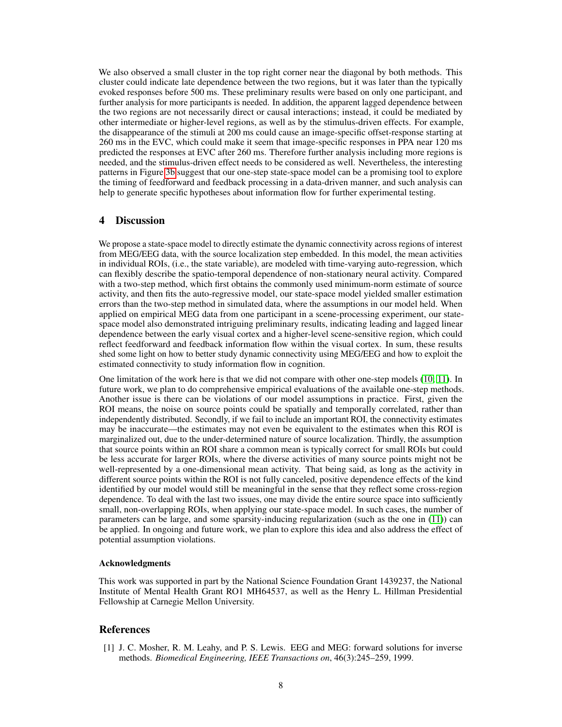We also observed a small cluster in the top right corner near the diagonal by both methods. This cluster could indicate late dependence between the two regions, but it was later than the typically evoked responses before 500 ms. These preliminary results were based on only one participant, and further analysis for more participants is needed. In addition, the apparent lagged dependence between the two regions are not necessarily direct or causal interactions; instead, it could be mediated by other intermediate or higher-level regions, as well as by the stimulus-driven effects. For example, the disappearance of the stimuli at 200 ms could cause an image-specific offset-response starting at 260 ms in the EVC, which could make it seem that image-specific responses in PPA near 120 ms predicted the responses at EVC after 260 ms. Therefore further analysis including more regions is needed, and the stimulus-driven effect needs to be considered as well. Nevertheless, the interesting patterns in Figure [3b](#page-6-0) suggest that our one-step state-space model can be a promising tool to explore the timing of feedforward and feedback processing in a data-driven manner, and such analysis can help to generate specific hypotheses about information flow for further experimental testing.

## 4 Discussion

We propose a state-space model to directly estimate the dynamic connectivity across regions of interest from MEG/EEG data, with the source localization step embedded. In this model, the mean activities in individual ROIs, (i.e., the state variable), are modeled with time-varying auto-regression, which can flexibly describe the spatio-temporal dependence of non-stationary neural activity. Compared with a two-step method, which first obtains the commonly used minimum-norm estimate of source activity, and then fits the auto-regressive model, our state-space model yielded smaller estimation errors than the two-step method in simulated data, where the assumptions in our model held. When applied on empirical MEG data from one participant in a scene-processing experiment, our statespace model also demonstrated intriguing preliminary results, indicating leading and lagged linear dependence between the early visual cortex and a higher-level scene-sensitive region, which could reflect feedforward and feedback information flow within the visual cortex. In sum, these results shed some light on how to better study dynamic connectivity using MEG/EEG and how to exploit the estimated connectivity to study information flow in cognition.

One limitation of the work here is that we did not compare with other one-step models [\(10;](#page-8-8) [11\)](#page-8-9). In future work, we plan to do comprehensive empirical evaluations of the available one-step methods. Another issue is there can be violations of our model assumptions in practice. First, given the ROI means, the noise on source points could be spatially and temporally correlated, rather than independently distributed. Secondly, if we fail to include an important ROI, the connectivity estimates may be inaccurate—the estimates may not even be equivalent to the estimates when this ROI is marginalized out, due to the under-determined nature of source localization. Thirdly, the assumption that source points within an ROI share a common mean is typically correct for small ROIs but could be less accurate for larger ROIs, where the diverse activities of many source points might not be well-represented by a one-dimensional mean activity. That being said, as long as the activity in different source points within the ROI is not fully canceled, positive dependence effects of the kind identified by our model would still be meaningful in the sense that they reflect some cross-region dependence. To deal with the last two issues, one may divide the entire source space into sufficiently small, non-overlapping ROIs, when applying our state-space model. In such cases, the number of parameters can be large, and some sparsity-inducing regularization (such as the one in [\(11\)](#page-8-9)) can be applied. In ongoing and future work, we plan to explore this idea and also address the effect of potential assumption violations.

### Acknowledgments

This work was supported in part by the National Science Foundation Grant 1439237, the National Institute of Mental Health Grant RO1 MH64537, as well as the Henry L. Hillman Presidential Fellowship at Carnegie Mellon University.

## References

<span id="page-7-0"></span>[1] J. C. Mosher, R. M. Leahy, and P. S. Lewis. EEG and MEG: forward solutions for inverse methods. *Biomedical Engineering, IEEE Transactions on*, 46(3):245–259, 1999.